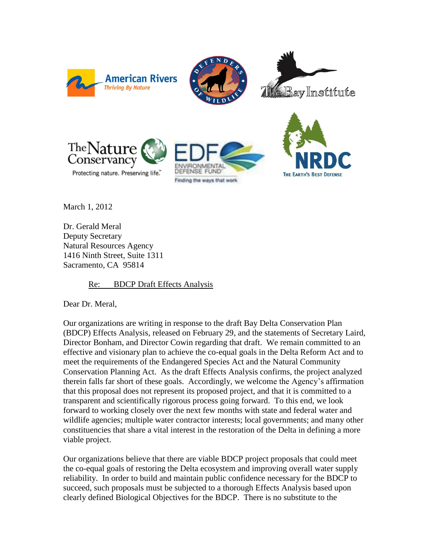







Protecting nature. Preserving life."





March 1, 2012

Dr. Gerald Meral Deputy Secretary Natural Resources Agency 1416 Ninth Street, Suite 1311 Sacramento, CA 95814

### Re: BDCP Draft Effects Analysis

Dear Dr. Meral,

Our organizations are writing in response to the draft Bay Delta Conservation Plan (BDCP) Effects Analysis, released on February 29, and the statements of Secretary Laird, Director Bonham, and Director Cowin regarding that draft. We remain committed to an effective and visionary plan to achieve the co-equal goals in the Delta Reform Act and to meet the requirements of the Endangered Species Act and the Natural Community Conservation Planning Act. As the draft Effects Analysis confirms, the project analyzed therein falls far short of these goals. Accordingly, we welcome the Agency's affirmation that this proposal does not represent its proposed project, and that it is committed to a transparent and scientifically rigorous process going forward. To this end, we look forward to working closely over the next few months with state and federal water and wildlife agencies; multiple water contractor interests; local governments; and many other constituencies that share a vital interest in the restoration of the Delta in defining a more viable project.

Our organizations believe that there are viable BDCP project proposals that could meet the co-equal goals of restoring the Delta ecosystem and improving overall water supply reliability. In order to build and maintain public confidence necessary for the BDCP to succeed, such proposals must be subjected to a thorough Effects Analysis based upon clearly defined Biological Objectives for the BDCP. There is no substitute to the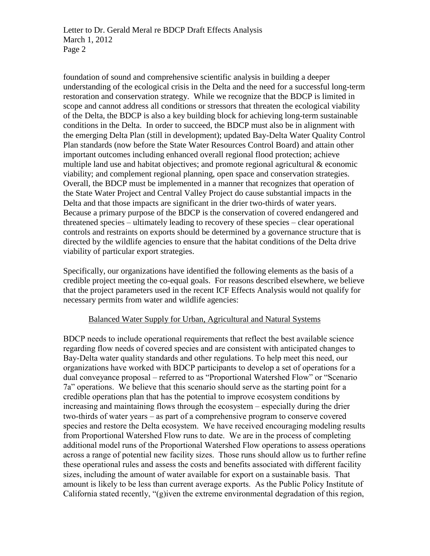foundation of sound and comprehensive scientific analysis in building a deeper understanding of the ecological crisis in the Delta and the need for a successful long-term restoration and conservation strategy. While we recognize that the BDCP is limited in scope and cannot address all conditions or stressors that threaten the ecological viability of the Delta, the BDCP is also a key building block for achieving long-term sustainable conditions in the Delta. In order to succeed, the BDCP must also be in alignment with the emerging Delta Plan (still in development); updated Bay-Delta Water Quality Control Plan standards (now before the State Water Resources Control Board) and attain other important outcomes including enhanced overall regional flood protection; achieve multiple land use and habitat objectives; and promote regional agricultural & economic viability; and complement regional planning, open space and conservation strategies. Overall, the BDCP must be implemented in a manner that recognizes that operation of the State Water Project and Central Valley Project do cause substantial impacts in the Delta and that those impacts are significant in the drier two-thirds of water years. Because a primary purpose of the BDCP is the conservation of covered endangered and threatened species – ultimately leading to recovery of these species – clear operational controls and restraints on exports should be determined by a governance structure that is directed by the wildlife agencies to ensure that the habitat conditions of the Delta drive viability of particular export strategies.

Specifically, our organizations have identified the following elements as the basis of a credible project meeting the co-equal goals. For reasons described elsewhere, we believe that the project parameters used in the recent ICF Effects Analysis would not qualify for necessary permits from water and wildlife agencies:

### Balanced Water Supply for Urban, Agricultural and Natural Systems

BDCP needs to include operational requirements that reflect the best available science regarding flow needs of covered species and are consistent with anticipated changes to Bay-Delta water quality standards and other regulations. To help meet this need, our organizations have worked with BDCP participants to develop a set of operations for a dual conveyance proposal – referred to as "Proportional Watershed Flow" or "Scenario 7a" operations. We believe that this scenario should serve as the starting point for a credible operations plan that has the potential to improve ecosystem conditions by increasing and maintaining flows through the ecosystem – especially during the drier two-thirds of water years – as part of a comprehensive program to conserve covered species and restore the Delta ecosystem. We have received encouraging modeling results from Proportional Watershed Flow runs to date. We are in the process of completing additional model runs of the Proportional Watershed Flow operations to assess operations across a range of potential new facility sizes. Those runs should allow us to further refine these operational rules and assess the costs and benefits associated with different facility sizes, including the amount of water available for export on a sustainable basis. That amount is likely to be less than current average exports. As the Public Policy Institute of California stated recently, "(g)iven the extreme environmental degradation of this region,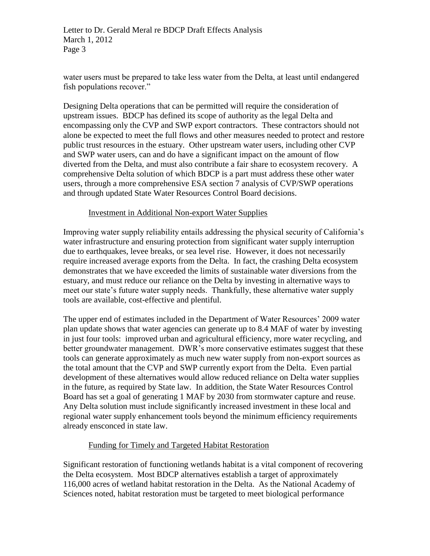Letter to Dr. Gerald Meral re BDCP Draft Effects Analysis March 1, 2012 Page 3

water users must be prepared to take less water from the Delta, at least until endangered fish populations recover."

Designing Delta operations that can be permitted will require the consideration of upstream issues. BDCP has defined its scope of authority as the legal Delta and encompassing only the CVP and SWP export contractors. These contractors should not alone be expected to meet the full flows and other measures needed to protect and restore public trust resources in the estuary. Other upstream water users, including other CVP and SWP water users, can and do have a significant impact on the amount of flow diverted from the Delta, and must also contribute a fair share to ecosystem recovery. A comprehensive Delta solution of which BDCP is a part must address these other water users, through a more comprehensive ESA section 7 analysis of CVP/SWP operations and through updated State Water Resources Control Board decisions.

### Investment in Additional Non-export Water Supplies

Improving water supply reliability entails addressing the physical security of California's water infrastructure and ensuring protection from significant water supply interruption due to earthquakes, levee breaks, or sea level rise. However, it does not necessarily require increased average exports from the Delta. In fact, the crashing Delta ecosystem demonstrates that we have exceeded the limits of sustainable water diversions from the estuary, and must reduce our reliance on the Delta by investing in alternative ways to meet our state's future water supply needs. Thankfully, these alternative water supply tools are available, cost-effective and plentiful.

The upper end of estimates included in the Department of Water Resources' 2009 water plan update shows that water agencies can generate up to 8.4 MAF of water by investing in just four tools: improved urban and agricultural efficiency, more water recycling, and better groundwater management. DWR's more conservative estimates suggest that these tools can generate approximately as much new water supply from non-export sources as the total amount that the CVP and SWP currently export from the Delta. Even partial development of these alternatives would allow reduced reliance on Delta water supplies in the future, as required by State law. In addition, the State Water Resources Control Board has set a goal of generating 1 MAF by 2030 from stormwater capture and reuse. Any Delta solution must include significantly increased investment in these local and regional water supply enhancement tools beyond the minimum efficiency requirements already ensconced in state law.

### Funding for Timely and Targeted Habitat Restoration

Significant restoration of functioning wetlands habitat is a vital component of recovering the Delta ecosystem. Most BDCP alternatives establish a target of approximately 116,000 acres of wetland habitat restoration in the Delta. As the National Academy of Sciences noted, habitat restoration must be targeted to meet biological performance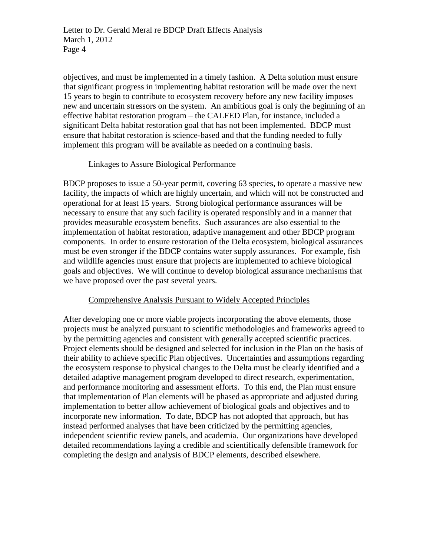objectives, and must be implemented in a timely fashion. A Delta solution must ensure that significant progress in implementing habitat restoration will be made over the next 15 years to begin to contribute to ecosystem recovery before any new facility imposes new and uncertain stressors on the system. An ambitious goal is only the beginning of an effective habitat restoration program – the CALFED Plan, for instance, included a significant Delta habitat restoration goal that has not been implemented. BDCP must ensure that habitat restoration is science-based and that the funding needed to fully implement this program will be available as needed on a continuing basis.

## Linkages to Assure Biological Performance

BDCP proposes to issue a 50-year permit, covering 63 species, to operate a massive new facility, the impacts of which are highly uncertain, and which will not be constructed and operational for at least 15 years. Strong biological performance assurances will be necessary to ensure that any such facility is operated responsibly and in a manner that provides measurable ecosystem benefits. Such assurances are also essential to the implementation of habitat restoration, adaptive management and other BDCP program components. In order to ensure restoration of the Delta ecosystem, biological assurances must be even stronger if the BDCP contains water supply assurances. For example, fish and wildlife agencies must ensure that projects are implemented to achieve biological goals and objectives. We will continue to develop biological assurance mechanisms that we have proposed over the past several years.

# Comprehensive Analysis Pursuant to Widely Accepted Principles

After developing one or more viable projects incorporating the above elements, those projects must be analyzed pursuant to scientific methodologies and frameworks agreed to by the permitting agencies and consistent with generally accepted scientific practices. Project elements should be designed and selected for inclusion in the Plan on the basis of their ability to achieve specific Plan objectives. Uncertainties and assumptions regarding the ecosystem response to physical changes to the Delta must be clearly identified and a detailed adaptive management program developed to direct research, experimentation, and performance monitoring and assessment efforts. To this end, the Plan must ensure that implementation of Plan elements will be phased as appropriate and adjusted during implementation to better allow achievement of biological goals and objectives and to incorporate new information. To date, BDCP has not adopted that approach, but has instead performed analyses that have been criticized by the permitting agencies, independent scientific review panels, and academia. Our organizations have developed detailed recommendations laying a credible and scientifically defensible framework for completing the design and analysis of BDCP elements, described elsewhere.